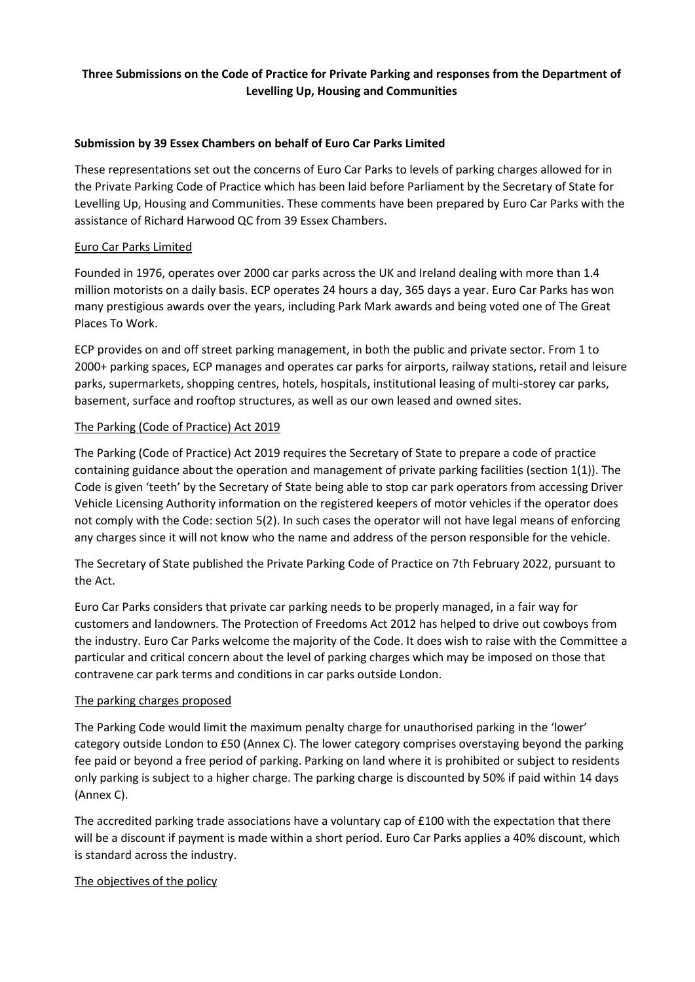# **Three Submissions on the Code of Practice for Private Parking and responses from the Department of Levelling Up, Housing and Communities**

# **Submission by 39 Essex Chambers on behalf of Euro Car Parks Limited**

These representations set out the concerns of Euro Car Parks to levels of parking charges allowed for in the Private Parking Code of Practice which has been laid before Parliament by the Secretary of State for Levelling Up, Housing and Communities. These comments have been prepared by Euro Car Parks with the assistance of Richard Harwood QC from 39 Essex Chambers.

#### Euro Car Parks Limited

Founded in 1976, operates over 2000 car parks across the UK and Ireland dealing with more than 1.4 million motorists on a daily basis. ECP operates 24 hours a day, 365 days a year. Euro Car Parks has won many prestigious awards over the years, including Park Mark awards and being voted one of The Great Places To Work.

ECP provides on and off street parking management, in both the public and private sector. From 1 to 2000+ parking spaces, ECP manages and operates car parks for airports, railway stations, retail and leisure parks, supermarkets, shopping centres, hotels, hospitals, institutional leasing of multi-storey car parks, basement, surface and rooftop structures, as well as our own leased and owned sites.

# The Parking (Code of Practice) Act 2019

The Parking (Code of Practice) Act 2019 requires the Secretary of State to prepare a code of practice containing guidance about the operation and management of private parking facilities (section 1(1)). The Code is given 'teeth' by the Secretary of State being able to stop car park operators from accessing Driver Vehicle Licensing Authority information on the registered keepers of motor vehicles if the operator does not comply with the Code: section 5(2). In such cases the operator will not have legal means of enforcing any charges since it will not know who the name and address of the person responsible for the vehicle.

The Secretary of State published the Private Parking Code of Practice on 7th February 2022, pursuant to the Act.

Euro Car Parks considers that private car parking needs to be properly managed, in a fair way for customers and landowners. The Protection of Freedoms Act 2012 has helped to drive out cowboys from the industry. Euro Car Parks welcome the majority of the Code. It does wish to raise with the Committee a particular and critical concern about the level of parking charges which may be imposed on those that contravene car park terms and conditions in car parks outside London.

# The parking charges proposed

The Parking Code would limit the maximum penalty charge for unauthorised parking in the 'lower' category outside London to £50 (Annex C). The lower category comprises overstaying beyond the parking fee paid or beyond a free period of parking. Parking on land where it is prohibited or subject to residents only parking is subject to a higher charge. The parking charge is discounted by 50% if paid within 14 days (Annex C).

The accredited parking trade associations have a voluntary cap of £100 with the expectation that there will be a discount if payment is made within a short period. Euro Car Parks applies a 40% discount, which is standard across the industry.

# The objectives of the policy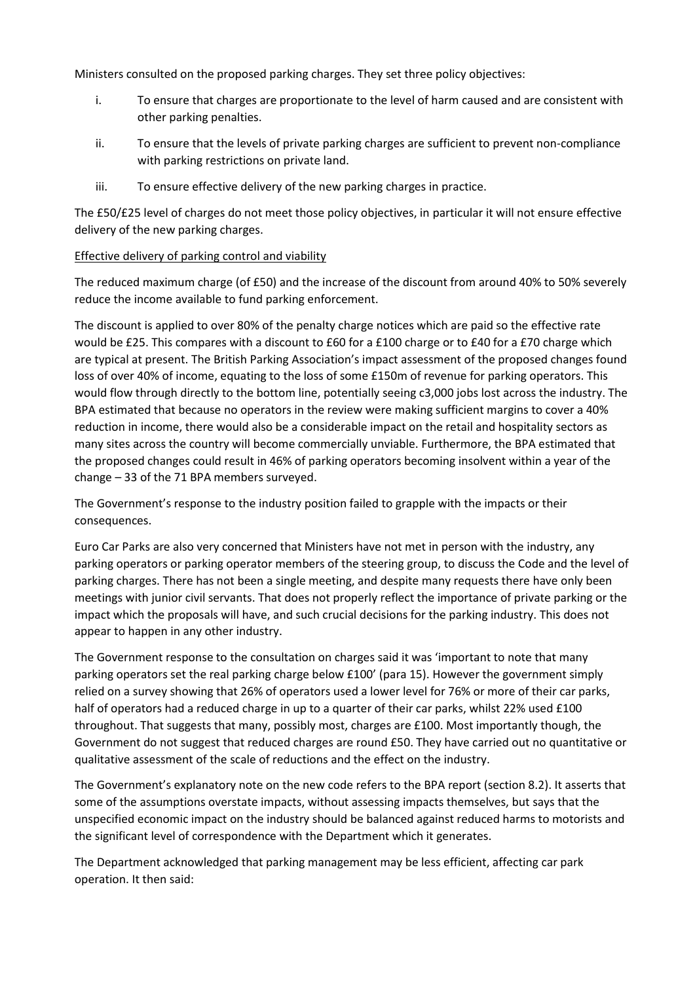Ministers consulted on the proposed parking charges. They set three policy objectives:

- i. To ensure that charges are proportionate to the level of harm caused and are consistent with other parking penalties.
- ii. To ensure that the levels of private parking charges are sufficient to prevent non-compliance with parking restrictions on private land.
- iii. To ensure effective delivery of the new parking charges in practice.

The £50/£25 level of charges do not meet those policy objectives, in particular it will not ensure effective delivery of the new parking charges.

# Effective delivery of parking control and viability

The reduced maximum charge (of £50) and the increase of the discount from around 40% to 50% severely reduce the income available to fund parking enforcement.

The discount is applied to over 80% of the penalty charge notices which are paid so the effective rate would be £25. This compares with a discount to £60 for a £100 charge or to £40 for a £70 charge which are typical at present. The British Parking Association's impact assessment of the proposed changes found loss of over 40% of income, equating to the loss of some £150m of revenue for parking operators. This would flow through directly to the bottom line, potentially seeing c3,000 jobs lost across the industry. The BPA estimated that because no operators in the review were making sufficient margins to cover a 40% reduction in income, there would also be a considerable impact on the retail and hospitality sectors as many sites across the country will become commercially unviable. Furthermore, the BPA estimated that the proposed changes could result in 46% of parking operators becoming insolvent within a year of the change – 33 of the 71 BPA members surveyed.

The Government's response to the industry position failed to grapple with the impacts or their consequences.

Euro Car Parks are also very concerned that Ministers have not met in person with the industry, any parking operators or parking operator members of the steering group, to discuss the Code and the level of parking charges. There has not been a single meeting, and despite many requests there have only been meetings with junior civil servants. That does not properly reflect the importance of private parking or the impact which the proposals will have, and such crucial decisions for the parking industry. This does not appear to happen in any other industry.

The Government response to the consultation on charges said it was 'important to note that many parking operators set the real parking charge below £100' (para 15). However the government simply relied on a survey showing that 26% of operators used a lower level for 76% or more of their car parks, half of operators had a reduced charge in up to a quarter of their car parks, whilst 22% used £100 throughout. That suggests that many, possibly most, charges are £100. Most importantly though, the Government do not suggest that reduced charges are round £50. They have carried out no quantitative or qualitative assessment of the scale of reductions and the effect on the industry.

The Government's explanatory note on the new code refers to the BPA report (section 8.2). It asserts that some of the assumptions overstate impacts, without assessing impacts themselves, but says that the unspecified economic impact on the industry should be balanced against reduced harms to motorists and the significant level of correspondence with the Department which it generates.

The Department acknowledged that parking management may be less efficient, affecting car park operation. It then said: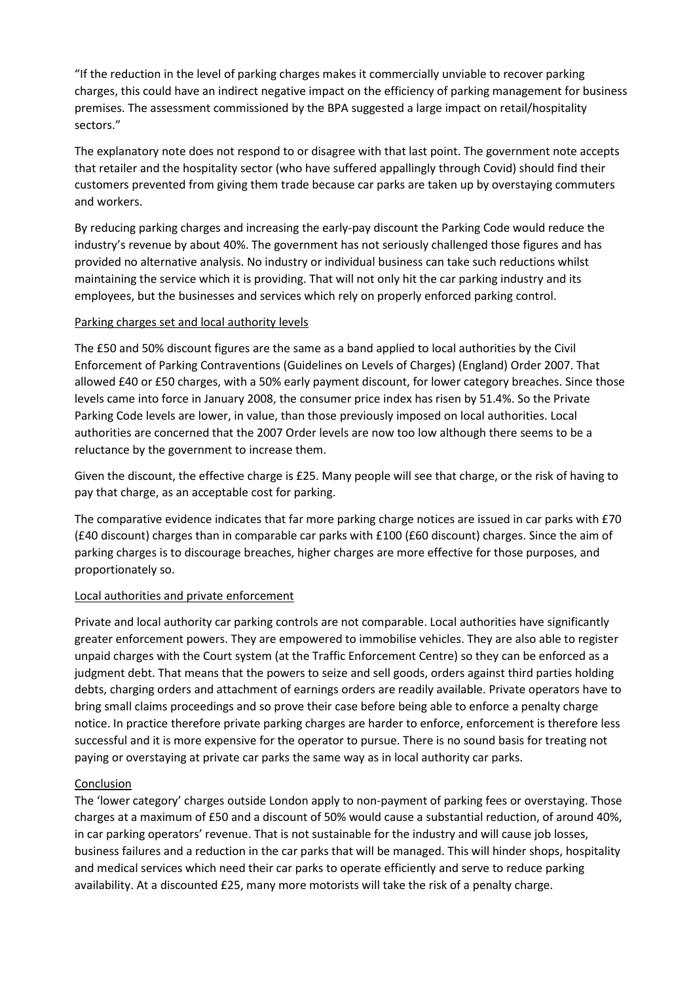"If the reduction in the level of parking charges makes it commercially unviable to recover parking charges, this could have an indirect negative impact on the efficiency of parking management for business premises. The assessment commissioned by the BPA suggested a large impact on retail/hospitality sectors."

The explanatory note does not respond to or disagree with that last point. The government note accepts that retailer and the hospitality sector (who have suffered appallingly through Covid) should find their customers prevented from giving them trade because car parks are taken up by overstaying commuters and workers.

By reducing parking charges and increasing the early-pay discount the Parking Code would reduce the industry's revenue by about 40%. The government has not seriously challenged those figures and has provided no alternative analysis. No industry or individual business can take such reductions whilst maintaining the service which it is providing. That will not only hit the car parking industry and its employees, but the businesses and services which rely on properly enforced parking control.

# Parking charges set and local authority levels

The £50 and 50% discount figures are the same as a band applied to local authorities by the Civil Enforcement of Parking Contraventions (Guidelines on Levels of Charges) (England) Order 2007. That allowed £40 or £50 charges, with a 50% early payment discount, for lower category breaches. Since those levels came into force in January 2008, the consumer price index has risen by 51.4%. So the Private Parking Code levels are lower, in value, than those previously imposed on local authorities. Local authorities are concerned that the 2007 Order levels are now too low although there seems to be a reluctance by the government to increase them.

Given the discount, the effective charge is £25. Many people will see that charge, or the risk of having to pay that charge, as an acceptable cost for parking.

The comparative evidence indicates that far more parking charge notices are issued in car parks with £70 (£40 discount) charges than in comparable car parks with £100 (£60 discount) charges. Since the aim of parking charges is to discourage breaches, higher charges are more effective for those purposes, and proportionately so.

#### Local authorities and private enforcement

Private and local authority car parking controls are not comparable. Local authorities have significantly greater enforcement powers. They are empowered to immobilise vehicles. They are also able to register unpaid charges with the Court system (at the Traffic Enforcement Centre) so they can be enforced as a judgment debt. That means that the powers to seize and sell goods, orders against third parties holding debts, charging orders and attachment of earnings orders are readily available. Private operators have to bring small claims proceedings and so prove their case before being able to enforce a penalty charge notice. In practice therefore private parking charges are harder to enforce, enforcement is therefore less successful and it is more expensive for the operator to pursue. There is no sound basis for treating not paying or overstaying at private car parks the same way as in local authority car parks.

# Conclusion

The 'lower category' charges outside London apply to non-payment of parking fees or overstaying. Those charges at a maximum of £50 and a discount of 50% would cause a substantial reduction, of around 40%, in car parking operators' revenue. That is not sustainable for the industry and will cause job losses, business failures and a reduction in the car parks that will be managed. This will hinder shops, hospitality and medical services which need their car parks to operate efficiently and serve to reduce parking availability. At a discounted £25, many more motorists will take the risk of a penalty charge.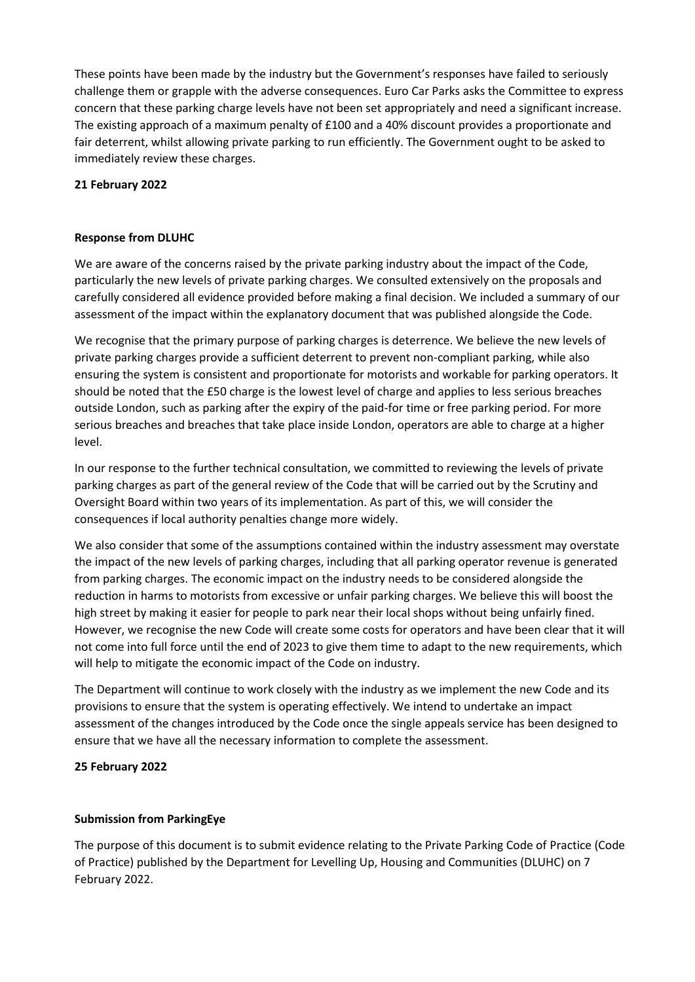These points have been made by the industry but the Government's responses have failed to seriously challenge them or grapple with the adverse consequences. Euro Car Parks asks the Committee to express concern that these parking charge levels have not been set appropriately and need a significant increase. The existing approach of a maximum penalty of £100 and a 40% discount provides a proportionate and fair deterrent, whilst allowing private parking to run efficiently. The Government ought to be asked to immediately review these charges.

#### **21 February 2022**

#### **Response from DLUHC**

We are aware of the concerns raised by the private parking industry about the impact of the Code, particularly the new levels of private parking charges. We consulted extensively on the proposals and carefully considered all evidence provided before making a final decision. We included a summary of our assessment of the impact within the explanatory document that was published alongside the Code.

We recognise that the primary purpose of parking charges is deterrence. We believe the new levels of private parking charges provide a sufficient deterrent to prevent non-compliant parking, while also ensuring the system is consistent and proportionate for motorists and workable for parking operators. It should be noted that the £50 charge is the lowest level of charge and applies to less serious breaches outside London, such as parking after the expiry of the paid-for time or free parking period. For more serious breaches and breaches that take place inside London, operators are able to charge at a higher level.

In our response to the further technical consultation, we committed to reviewing the levels of private parking charges as part of the general review of the Code that will be carried out by the Scrutiny and Oversight Board within two years of its implementation. As part of this, we will consider the consequences if local authority penalties change more widely.

We also consider that some of the assumptions contained within the industry assessment may overstate the impact of the new levels of parking charges, including that all parking operator revenue is generated from parking charges. The economic impact on the industry needs to be considered alongside the reduction in harms to motorists from excessive or unfair parking charges. We believe this will boost the high street by making it easier for people to park near their local shops without being unfairly fined. However, we recognise the new Code will create some costs for operators and have been clear that it will not come into full force until the end of 2023 to give them time to adapt to the new requirements, which will help to mitigate the economic impact of the Code on industry.

The Department will continue to work closely with the industry as we implement the new Code and its provisions to ensure that the system is operating effectively. We intend to undertake an impact assessment of the changes introduced by the Code once the single appeals service has been designed to ensure that we have all the necessary information to complete the assessment.

#### **25 February 2022**

#### **Submission from ParkingEye**

The purpose of this document is to submit evidence relating to the Private Parking Code of Practice (Code of Practice) published by the Department for Levelling Up, Housing and Communities (DLUHC) on 7 February 2022.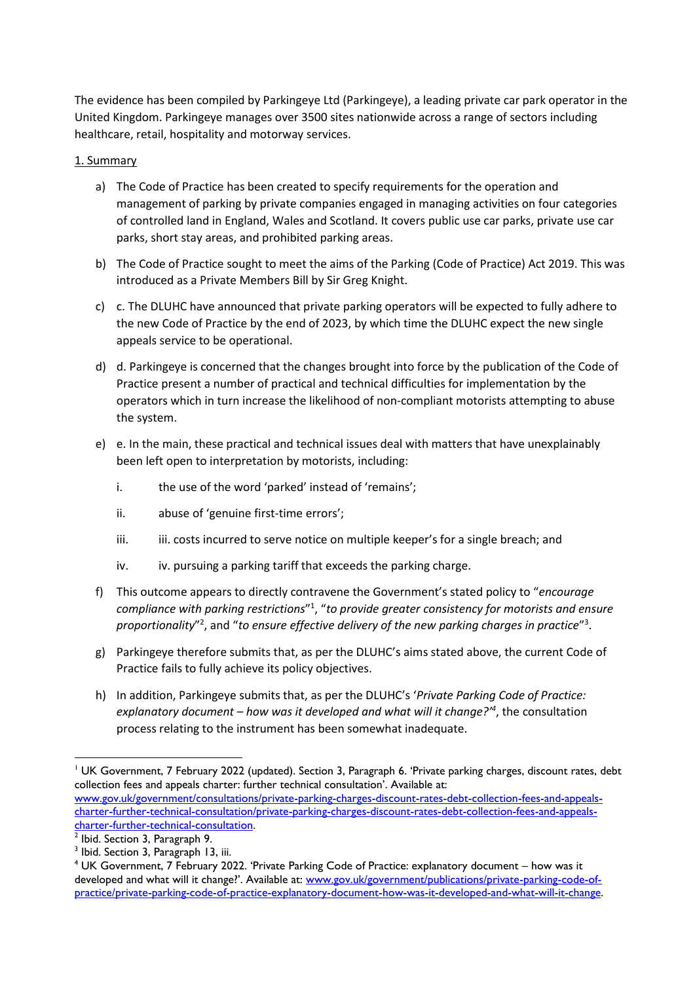The evidence has been compiled by Parkingeye Ltd (Parkingeye), a leading private car park operator in the United Kingdom. Parkingeye manages over 3500 sites nationwide across a range of sectors including healthcare, retail, hospitality and motorway services.

# 1. Summary

- a) The Code of Practice has been created to specify requirements for the operation and management of parking by private companies engaged in managing activities on four categories of controlled land in England, Wales and Scotland. It covers public use car parks, private use car parks, short stay areas, and prohibited parking areas.
- b) The Code of Practice sought to meet the aims of the Parking (Code of Practice) Act 2019. This was introduced as a Private Members Bill by Sir Greg Knight.
- c) c. The DLUHC have announced that private parking operators will be expected to fully adhere to the new Code of Practice by the end of 2023, by which time the DLUHC expect the new single appeals service to be operational.
- d) d. Parkingeye is concerned that the changes brought into force by the publication of the Code of Practice present a number of practical and technical difficulties for implementation by the operators which in turn increase the likelihood of non-compliant motorists attempting to abuse the system.
- e) e. In the main, these practical and technical issues deal with matters that have unexplainably been left open to interpretation by motorists, including:
	- i. the use of the word 'parked' instead of 'remains';
	- ii. abuse of 'genuine first-time errors';
	- iii. iii. costs incurred to serve notice on multiple keeper's for a single breach; and
	- iv. iv. pursuing a parking tariff that exceeds the parking charge.
- f) This outcome appears to directly contravene the Government's stated policy to "*encourage compliance with parking restrictions*" 1 , "*to provide greater consistency for motorists and ensure*  proportionality"<sup>2</sup>, and "to ensure effective delivery of the new parking charges in practice"<sup>3</sup>.
- g) Parkingeye therefore submits that, as per the DLUHC's aims stated above, the current Code of Practice fails to fully achieve its policy objectives.
- h) In addition, Parkingeye submits that, as per the DLUHC's '*Private Parking Code of Practice: explanatory document – how was it developed and what will it change?'<sup>4</sup>* , the consultation process relating to the instrument has been somewhat inadequate.

<sup>&</sup>lt;sup>1</sup> UK Government, 7 February 2022 (updated). Section 3, Paragraph 6. 'Private parking charges, discount rates, debt collection fees and appeals charter: further technical consultation'. Available at: [www.gov.uk/government/consultations/private-parking-charges-discount-rates-debt-collection-fees-and-appeals](http://www.gov.uk/government/consultations/private-parking-charges-discount-rates-debt-collection-fees-and-appeals-charter-further-technical-consultation/private-parking-charges-discount-rates-debt-collection-fees-and-appeals-charter-further-technical-consultation)[charter-further-technical-consultation/private-parking-charges-discount-rates-debt-collection-fees-and-appeals-](http://www.gov.uk/government/consultations/private-parking-charges-discount-rates-debt-collection-fees-and-appeals-charter-further-technical-consultation/private-parking-charges-discount-rates-debt-collection-fees-and-appeals-charter-further-technical-consultation)

<sup>&</sup>lt;mark>charter-further-technical-consultation</mark>.<br><sup>2</sup> Ibid. Section 3, Paragraph 9.

<sup>&</sup>lt;sup>3</sup> Ibid. Section 3, Paragraph 13, iii.

<sup>4</sup> UK Government, 7 February 2022. 'Private Parking Code of Practice: explanatory document – how was it developed and what will it change?'. Available at: [www.gov.uk/government/publications/private-parking-code-of](http://www.gov.uk/government/publications/private-parking-code-of-practice/private-parking-code-of-practice-explanatory-document-how-was-it-developed-and-what-will-it-change)[practice/private-parking-code-of-practice-explanatory-document-how-was-it-developed-and-what-will-it-change.](http://www.gov.uk/government/publications/private-parking-code-of-practice/private-parking-code-of-practice-explanatory-document-how-was-it-developed-and-what-will-it-change)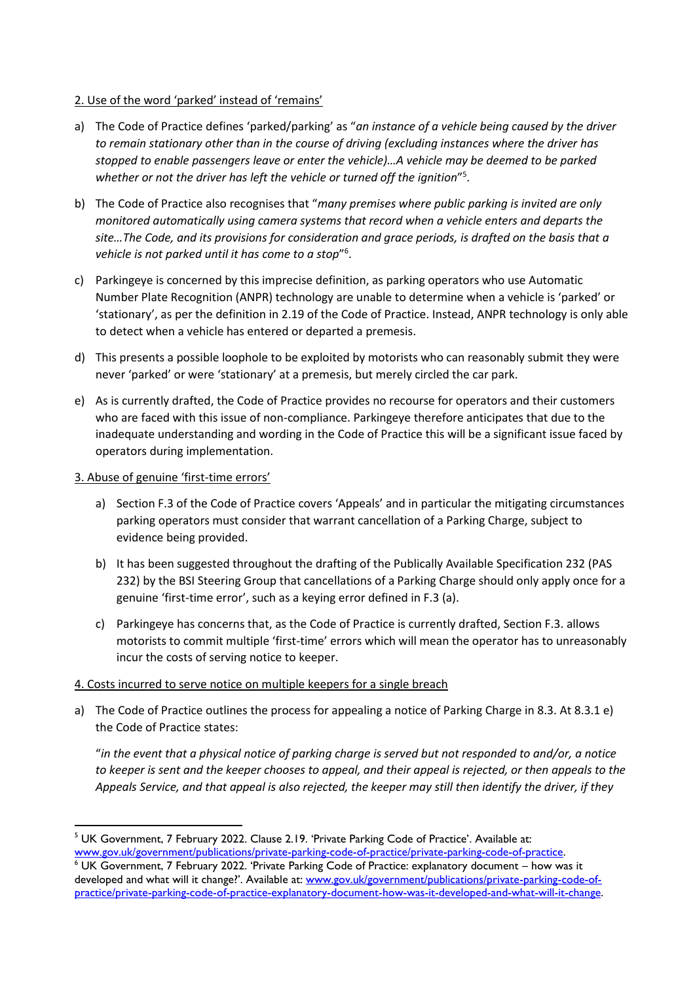# 2. Use of the word 'parked' instead of 'remains'

- a) The Code of Practice defines 'parked/parking' as "*an instance of a vehicle being caused by the driver to remain stationary other than in the course of driving (excluding instances where the driver has stopped to enable passengers leave or enter the vehicle)…A vehicle may be deemed to be parked*  whether or not the driver has left the vehicle or turned off the ignition"<sup>5</sup>.
- b) The Code of Practice also recognises that "*many premises where public parking is invited are only monitored automatically using camera systems that record when a vehicle enters and departs the site…The Code, and its provisions for consideration and grace periods, is drafted on the basis that a vehicle is not parked until it has come to a stop*" 6 .
- c) Parkingeye is concerned by this imprecise definition, as parking operators who use Automatic Number Plate Recognition (ANPR) technology are unable to determine when a vehicle is 'parked' or 'stationary', as per the definition in 2.19 of the Code of Practice. Instead, ANPR technology is only able to detect when a vehicle has entered or departed a premesis.
- d) This presents a possible loophole to be exploited by motorists who can reasonably submit they were never 'parked' or were 'stationary' at a premesis, but merely circled the car park.
- e) As is currently drafted, the Code of Practice provides no recourse for operators and their customers who are faced with this issue of non-compliance. Parkingeye therefore anticipates that due to the inadequate understanding and wording in the Code of Practice this will be a significant issue faced by operators during implementation.

#### 3. Abuse of genuine 'first-time errors'

- a) Section F.3 of the Code of Practice covers 'Appeals' and in particular the mitigating circumstances parking operators must consider that warrant cancellation of a Parking Charge, subject to evidence being provided.
- b) It has been suggested throughout the drafting of the Publically Available Specification 232 (PAS 232) by the BSI Steering Group that cancellations of a Parking Charge should only apply once for a genuine 'first-time error', such as a keying error defined in F.3 (a).
- c) Parkingeye has concerns that, as the Code of Practice is currently drafted, Section F.3. allows motorists to commit multiple 'first-time' errors which will mean the operator has to unreasonably incur the costs of serving notice to keeper.

#### 4. Costs incurred to serve notice on multiple keepers for a single breach

a) The Code of Practice outlines the process for appealing a notice of Parking Charge in 8.3. At 8.3.1 e) the Code of Practice states:

"*in the event that a physical notice of parking charge is served but not responded to and/or, a notice to keeper is sent and the keeper chooses to appeal, and their appeal is rejected, or then appeals to the Appeals Service, and that appeal is also rejected, the keeper may still then identify the driver, if they* 

<sup>&</sup>lt;sup>5</sup> UK Government, 7 February 2022. Clause 2.19. 'Private Parking Code of Practice'. Available at: [www.gov.uk/government/publications/private-parking-code-of-practice/private-parking-code-of-practice.](http://www.gov.uk/government/publications/private-parking-code-of-practice/private-parking-code-of-practice)

<sup>6</sup> UK Government, 7 February 2022. 'Private Parking Code of Practice: explanatory document – how was it developed and what will it change?'. Available at: [www.gov.uk/government/publications/private-parking-code-of](http://www.gov.uk/government/publications/private-parking-code-of-practice/private-parking-code-of-practice-explanatory-document-how-was-it-developed-and-what-will-it-change)[practice/private-parking-code-of-practice-explanatory-document-how-was-it-developed-and-what-will-it-change.](http://www.gov.uk/government/publications/private-parking-code-of-practice/private-parking-code-of-practice-explanatory-document-how-was-it-developed-and-what-will-it-change)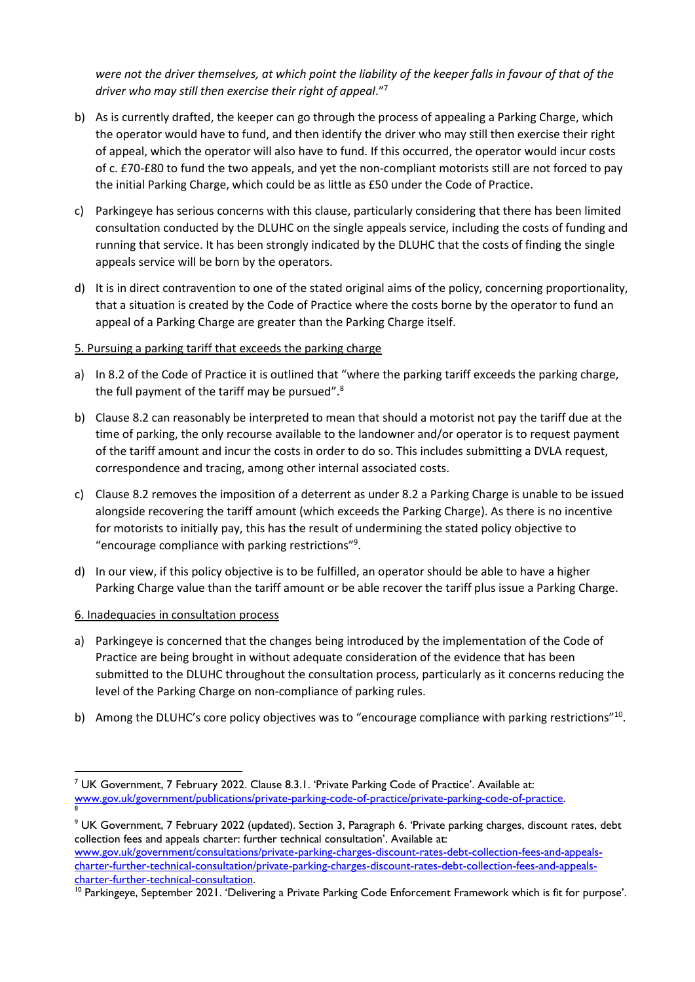*were not the driver themselves, at which point the liability of the keeper falls in favour of that of the driver who may still then exercise their right of appeal*."<sup>7</sup>

- b) As is currently drafted, the keeper can go through the process of appealing a Parking Charge, which the operator would have to fund, and then identify the driver who may still then exercise their right of appeal, which the operator will also have to fund. If this occurred, the operator would incur costs of c. £70-£80 to fund the two appeals, and yet the non-compliant motorists still are not forced to pay the initial Parking Charge, which could be as little as £50 under the Code of Practice.
- c) Parkingeye has serious concerns with this clause, particularly considering that there has been limited consultation conducted by the DLUHC on the single appeals service, including the costs of funding and running that service. It has been strongly indicated by the DLUHC that the costs of finding the single appeals service will be born by the operators.
- d) It is in direct contravention to one of the stated original aims of the policy, concerning proportionality, that a situation is created by the Code of Practice where the costs borne by the operator to fund an appeal of a Parking Charge are greater than the Parking Charge itself.

# 5. Pursuing a parking tariff that exceeds the parking charge

- a) In 8.2 of the Code of Practice it is outlined that "where the parking tariff exceeds the parking charge, the full payment of the tariff may be pursued".<sup>8</sup>
- b) Clause 8.2 can reasonably be interpreted to mean that should a motorist not pay the tariff due at the time of parking, the only recourse available to the landowner and/or operator is to request payment of the tariff amount and incur the costs in order to do so. This includes submitting a DVLA request, correspondence and tracing, among other internal associated costs.
- c) Clause 8.2 removes the imposition of a deterrent as under 8.2 a Parking Charge is unable to be issued alongside recovering the tariff amount (which exceeds the Parking Charge). As there is no incentive for motorists to initially pay, this has the result of undermining the stated policy objective to "encourage compliance with parking restrictions"<sup>9</sup> .
- d) In our view, if this policy objective is to be fulfilled, an operator should be able to have a higher Parking Charge value than the tariff amount or be able recover the tariff plus issue a Parking Charge.

# 6. Inadequacies in consultation process

- a) Parkingeye is concerned that the changes being introduced by the implementation of the Code of Practice are being brought in without adequate consideration of the evidence that has been submitted to the DLUHC throughout the consultation process, particularly as it concerns reducing the level of the Parking Charge on non-compliance of parking rules.
- b) Among the DLUHC's core policy objectives was to "encourage compliance with parking restrictions"<sup>10</sup>.

<sup>&</sup>lt;sup>7</sup> UK Government, 7 February 2022. Clause 8.3.1. 'Private Parking Code of Practice'. Available at: [www.gov.uk/government/publications/private-parking-code-of-practice/private-parking-code-of-practice.](http://www.gov.uk/government/publications/private-parking-code-of-practice/private-parking-code-of-practice) 8

<sup>9</sup> UK Government, 7 February 2022 (updated). Section 3, Paragraph 6. 'Private parking charges, discount rates, debt collection fees and appeals charter: further technical consultation'. Available at: [www.gov.uk/government/consultations/private-parking-charges-discount-rates-debt-collection-fees-and-appeals](http://www.gov.uk/government/consultations/private-parking-charges-discount-rates-debt-collection-fees-and-appeals-charter-further-technical-consultation/private-parking-charges-discount-rates-debt-collection-fees-and-appeals-charter-further-technical-consultation)[charter-further-technical-consultation/private-parking-charges-discount-rates-debt-collection-fees-and-appeals](http://www.gov.uk/government/consultations/private-parking-charges-discount-rates-debt-collection-fees-and-appeals-charter-further-technical-consultation/private-parking-charges-discount-rates-debt-collection-fees-and-appeals-charter-further-technical-consultation)[charter-further-technical-consultation.](http://www.gov.uk/government/consultations/private-parking-charges-discount-rates-debt-collection-fees-and-appeals-charter-further-technical-consultation/private-parking-charges-discount-rates-debt-collection-fees-and-appeals-charter-further-technical-consultation)

<sup>&</sup>lt;sup>10</sup> Parkingeye, September 2021. 'Delivering a Private Parking Code Enforcement Framework which is fit for purpose'.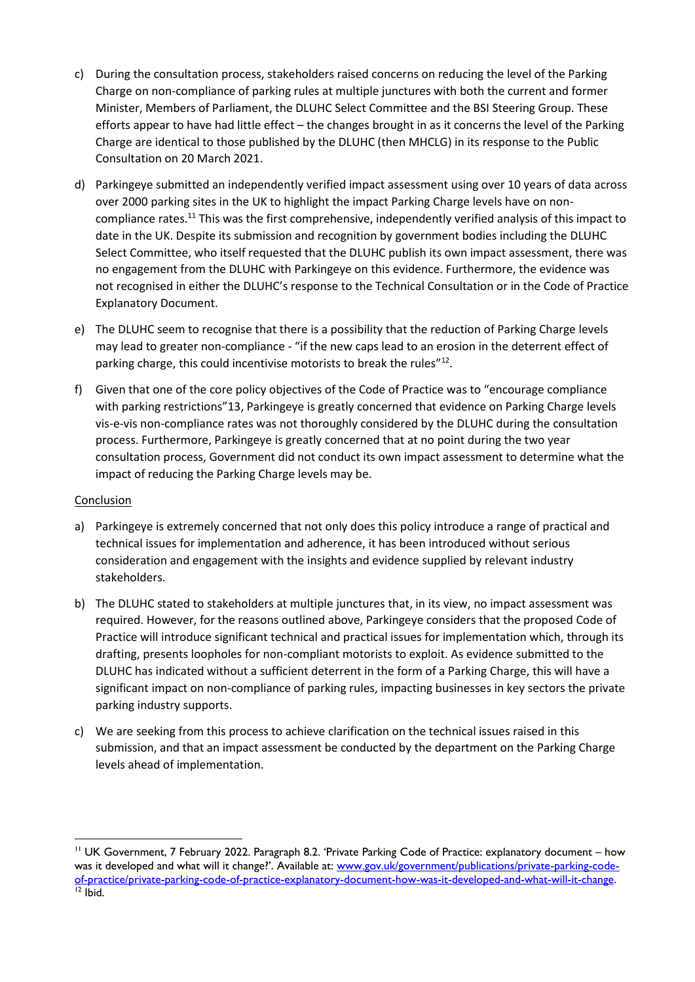- c) During the consultation process, stakeholders raised concerns on reducing the level of the Parking Charge on non-compliance of parking rules at multiple junctures with both the current and former Minister, Members of Parliament, the DLUHC Select Committee and the BSI Steering Group. These efforts appear to have had little effect – the changes brought in as it concerns the level of the Parking Charge are identical to those published by the DLUHC (then MHCLG) in its response to the Public Consultation on 20 March 2021.
- d) Parkingeye submitted an independently verified impact assessment using over 10 years of data across over 2000 parking sites in the UK to highlight the impact Parking Charge levels have on noncompliance rates.<sup>11</sup> This was the first comprehensive, independently verified analysis of this impact to date in the UK. Despite its submission and recognition by government bodies including the DLUHC Select Committee, who itself requested that the DLUHC publish its own impact assessment, there was no engagement from the DLUHC with Parkingeye on this evidence. Furthermore, the evidence was not recognised in either the DLUHC's response to the Technical Consultation or in the Code of Practice Explanatory Document.
- e) The DLUHC seem to recognise that there is a possibility that the reduction of Parking Charge levels may lead to greater non-compliance - "if the new caps lead to an erosion in the deterrent effect of parking charge, this could incentivise motorists to break the rules"<sup>12</sup>.
- f) Given that one of the core policy objectives of the Code of Practice was to "encourage compliance with parking restrictions"13, Parkingeye is greatly concerned that evidence on Parking Charge levels vis-e-vis non-compliance rates was not thoroughly considered by the DLUHC during the consultation process. Furthermore, Parkingeye is greatly concerned that at no point during the two year consultation process, Government did not conduct its own impact assessment to determine what the impact of reducing the Parking Charge levels may be.

# Conclusion

- a) Parkingeye is extremely concerned that not only does this policy introduce a range of practical and technical issues for implementation and adherence, it has been introduced without serious consideration and engagement with the insights and evidence supplied by relevant industry stakeholders.
- b) The DLUHC stated to stakeholders at multiple junctures that, in its view, no impact assessment was required. However, for the reasons outlined above, Parkingeye considers that the proposed Code of Practice will introduce significant technical and practical issues for implementation which, through its drafting, presents loopholes for non-compliant motorists to exploit. As evidence submitted to the DLUHC has indicated without a sufficient deterrent in the form of a Parking Charge, this will have a significant impact on non-compliance of parking rules, impacting businesses in key sectors the private parking industry supports.
- c) We are seeking from this process to achieve clarification on the technical issues raised in this submission, and that an impact assessment be conducted by the department on the Parking Charge levels ahead of implementation.

<sup>&</sup>lt;sup>11</sup> UK Government, 7 February 2022. Paragraph 8.2. 'Private Parking Code of Practice: explanatory document – how was it developed and what will it change?'. Available at: [www.gov.uk/government/publications/private-parking-code](http://www.gov.uk/government/publications/private-parking-code-of-practice/private-parking-code-of-practice-explanatory-document-how-was-it-developed-and-what-will-it-change)[of-practice/private-parking-code-of-practice-explanatory-document-how-was-it-developed-and-what-will-it-change.](http://www.gov.uk/government/publications/private-parking-code-of-practice/private-parking-code-of-practice-explanatory-document-how-was-it-developed-and-what-will-it-change)  $12$  Ibid.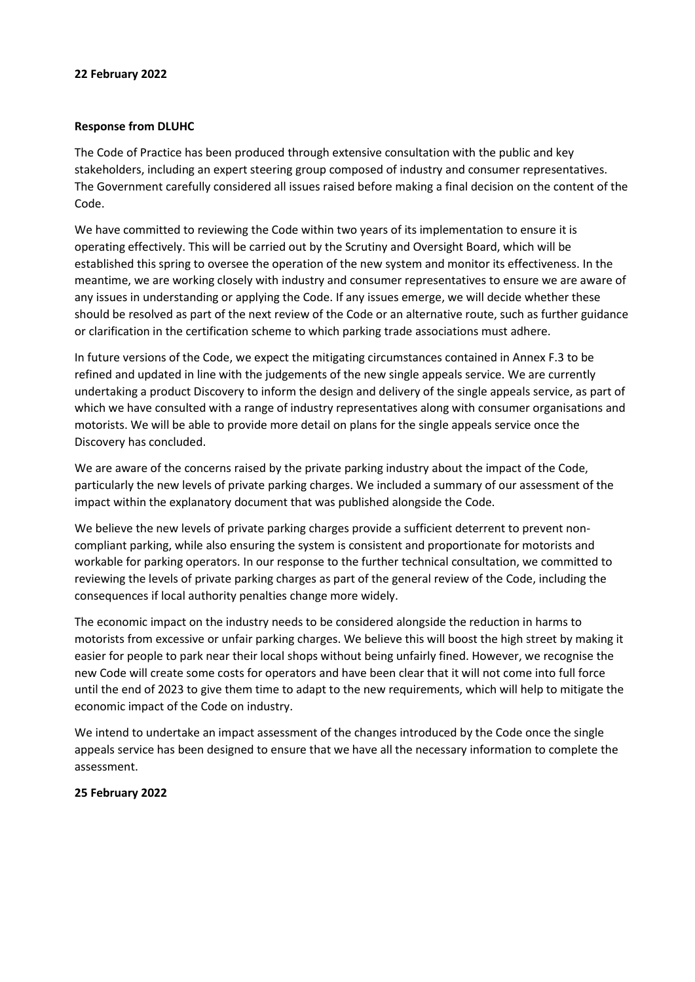#### **22 February 2022**

#### **Response from DLUHC**

The Code of Practice has been produced through extensive consultation with the public and key stakeholders, including an expert steering group composed of industry and consumer representatives. The Government carefully considered all issues raised before making a final decision on the content of the Code.

We have committed to reviewing the Code within two years of its implementation to ensure it is operating effectively. This will be carried out by the Scrutiny and Oversight Board, which will be established this spring to oversee the operation of the new system and monitor its effectiveness. In the meantime, we are working closely with industry and consumer representatives to ensure we are aware of any issues in understanding or applying the Code. If any issues emerge, we will decide whether these should be resolved as part of the next review of the Code or an alternative route, such as further guidance or clarification in the certification scheme to which parking trade associations must adhere.

In future versions of the Code, we expect the mitigating circumstances contained in Annex F.3 to be refined and updated in line with the judgements of the new single appeals service. We are currently undertaking a product Discovery to inform the design and delivery of the single appeals service, as part of which we have consulted with a range of industry representatives along with consumer organisations and motorists. We will be able to provide more detail on plans for the single appeals service once the Discovery has concluded.

We are aware of the concerns raised by the private parking industry about the impact of the Code, particularly the new levels of private parking charges. We included a summary of our assessment of the impact within the explanatory document that was published alongside the Code.

We believe the new levels of private parking charges provide a sufficient deterrent to prevent noncompliant parking, while also ensuring the system is consistent and proportionate for motorists and workable for parking operators. In our response to the further technical consultation, we committed to reviewing the levels of private parking charges as part of the general review of the Code, including the consequences if local authority penalties change more widely.

The economic impact on the industry needs to be considered alongside the reduction in harms to motorists from excessive or unfair parking charges. We believe this will boost the high street by making it easier for people to park near their local shops without being unfairly fined. However, we recognise the new Code will create some costs for operators and have been clear that it will not come into full force until the end of 2023 to give them time to adapt to the new requirements, which will help to mitigate the economic impact of the Code on industry.

We intend to undertake an impact assessment of the changes introduced by the Code once the single appeals service has been designed to ensure that we have all the necessary information to complete the assessment.

# **25 February 2022**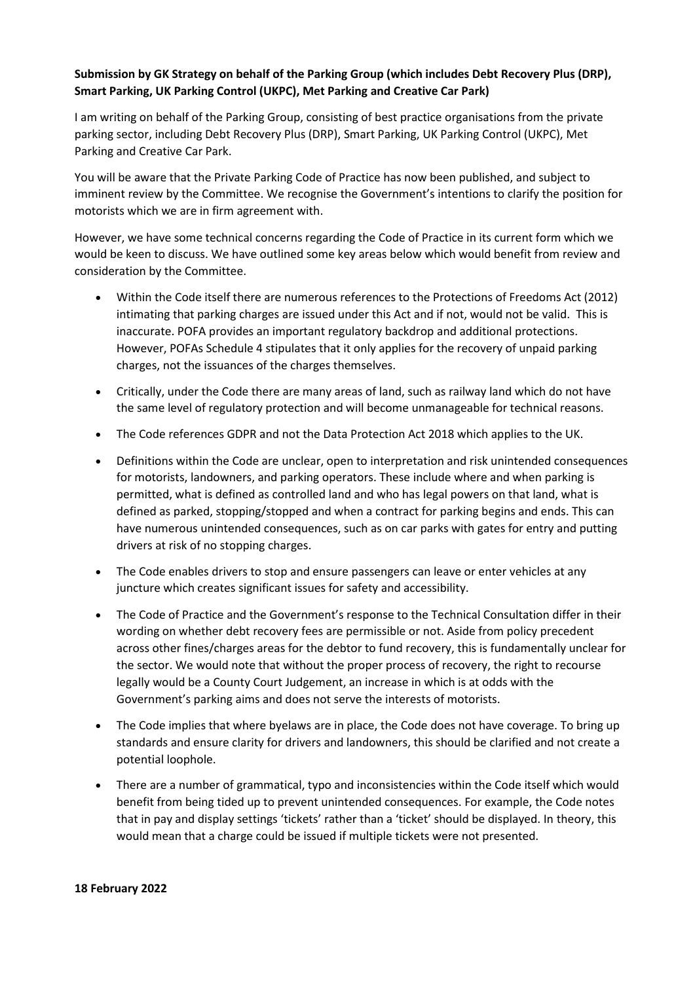# **Submission by GK Strategy on behalf of the Parking Group (which includes Debt Recovery Plus (DRP), Smart Parking, UK Parking Control (UKPC), Met Parking and Creative Car Park)**

I am writing on behalf of the Parking Group, consisting of best practice organisations from the private parking sector, including Debt Recovery Plus (DRP), Smart Parking, UK Parking Control (UKPC), Met Parking and Creative Car Park.

You will be aware that the Private Parking Code of Practice has now been published, and subject to imminent review by the Committee. We recognise the Government's intentions to clarify the position for motorists which we are in firm agreement with.

However, we have some technical concerns regarding the Code of Practice in its current form which we would be keen to discuss. We have outlined some key areas below which would benefit from review and consideration by the Committee.

- Within the Code itself there are numerous references to the Protections of Freedoms Act (2012) intimating that parking charges are issued under this Act and if not, would not be valid. This is inaccurate. POFA provides an important regulatory backdrop and additional protections. However, POFAs Schedule 4 stipulates that it only applies for the recovery of unpaid parking charges, not the issuances of the charges themselves.
- Critically, under the Code there are many areas of land, such as railway land which do not have the same level of regulatory protection and will become unmanageable for technical reasons.
- The Code references GDPR and not the Data Protection Act 2018 which applies to the UK.
- Definitions within the Code are unclear, open to interpretation and risk unintended consequences for motorists, landowners, and parking operators. These include where and when parking is permitted, what is defined as controlled land and who has legal powers on that land, what is defined as parked, stopping/stopped and when a contract for parking begins and ends. This can have numerous unintended consequences, such as on car parks with gates for entry and putting drivers at risk of no stopping charges.
- The Code enables drivers to stop and ensure passengers can leave or enter vehicles at any juncture which creates significant issues for safety and accessibility.
- The Code of Practice and the Government's response to the Technical Consultation differ in their wording on whether debt recovery fees are permissible or not. Aside from policy precedent across other fines/charges areas for the debtor to fund recovery, this is fundamentally unclear for the sector. We would note that without the proper process of recovery, the right to recourse legally would be a County Court Judgement, an increase in which is at odds with the Government's parking aims and does not serve the interests of motorists.
- The Code implies that where byelaws are in place, the Code does not have coverage. To bring up standards and ensure clarity for drivers and landowners, this should be clarified and not create a potential loophole.
- There are a number of grammatical, typo and inconsistencies within the Code itself which would benefit from being tided up to prevent unintended consequences. For example, the Code notes that in pay and display settings 'tickets' rather than a 'ticket' should be displayed. In theory, this would mean that a charge could be issued if multiple tickets were not presented.

#### **18 February 2022**